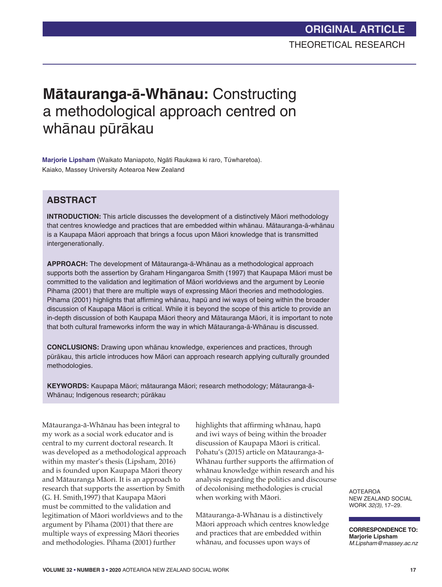# **Mātauranga-ā-Whānau: Constructing** a methodological approach centred on whānau pūrākau

**Marjorie Lipsham** (Waikato Maniapoto, Ngati Raukawa ki raro, Tuwharetoa). Kaiako, Massey University Aotearoa New Zealand

### **ABSTRACT**

**INTRODUCTION:** This article discusses the development of a distinctively Maori methodology that centres knowledge and practices that are embedded within whānau. Mātauranga-ā-whānau is a Kaupapa Māori approach that brings a focus upon Māori knowledge that is transmitted intergenerationally.

APPROACH: The development of Mātauranga-ā-Whānau as a methodological approach supports both the assertion by Graham Hingangaroa Smith (1997) that Kaupapa Māori must be committed to the validation and legitimation of Maori worldviews and the argument by Leonie Pihama (2001) that there are multiple ways of expressing Maori theories and methodologies. Pihama (2001) highlights that affirming whānau, hapū and iwi ways of being within the broader discussion of Kaupapa Māori is critical. While it is beyond the scope of this article to provide an in-depth discussion of both Kaupapa Māori theory and Mātauranga Māori, it is important to note that both cultural frameworks inform the way in which Mātauranga-ā-Whānau is discussed.

**CONCLUSIONS:** Drawing upon whānau knowledge, experiences and practices, through pūrākau, this article introduces how Māori can approach research applying culturally grounded methodologies.

KEYWORDS: Kaupapa Māori; mātauranga Māori; research methodology; Mātauranga-ā-Whānau; Indigenous research; pūrākau

Mātauranga-ā-Whānau has been integral to my work as a social work educator and is central to my current doctoral research. It was developed as a methodological approach within my master's thesis (Lipsham, 2016) and is founded upon Kaupapa Māori theory and Mātauranga Māori. It is an approach to research that supports the assertion by Smith (G. H. Smith,1997) that Kaupapa Māori must be committed to the validation and legitimation of Māori worldviews and to the argument by Pihama (2001) that there are multiple ways of expressing Māori theories and methodologies. Pihama (2001) further

highlights that affirming whānau, hapū and iwi ways of being within the broader discussion of Kaupapa Māori is critical. Pohatu's (2015) article on Mātauranga-ā-Whānau further supports the affirmation of whānau knowledge within research and his analysis regarding the politics and discourse of decolonising methodologies is crucial when working with Māori.

Mātauranga-ā-Whānau is a distinctively Māori approach which centres knowledge and practices that are embedded within whānau, and focusses upon ways of

AOTEAROA NEW ZEALAND SOCIAL WORK *32(3)*, 17–29.

**CORRESPONDENCE TO: Marjorie Lipsham** *M.Lipsham@massey.ac.nz*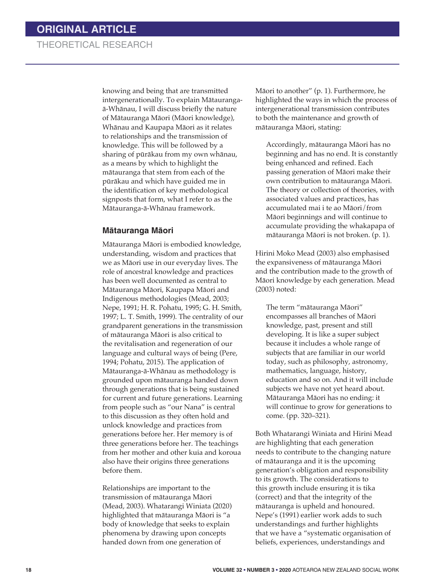knowing and being that are transmitted intergenerationally. To explain Mātaurangaā-Whānau, I will discuss briefly the nature of Mātauranga Māori (Māori knowledge), Whānau and Kaupapa Māori as it relates to relationships and the transmission of knowledge. This will be followed by a sharing of pūrākau from my own whānau, as a means by which to highlight the mātauranga that stem from each of the pūrākau and which have guided me in the identification of key methodological signposts that form, what I refer to as the Mātauranga-ā-Whānau framework.

#### **Mātauranga Māori**

Mātauranga Māori is embodied knowledge, understanding, wisdom and practices that we as Māori use in our everyday lives. The role of ancestral knowledge and practices has been well documented as central to Mātauranga Māori, Kaupapa Māori and Indigenous methodologies (Mead, 2003; Nepe, 1991; H. R. Pohatu, 1995; G. H. Smith, 1997; L. T. Smith, 1999). The centrality of our grandparent generations in the transmission of mātauranga Māori is also critical to the revitalisation and regeneration of our language and cultural ways of being (Pere, 1994; Pohatu, 2015). The application of Mātauranga-ā-Whānau as methodology is grounded upon mātauranga handed down through generations that is being sustained for current and future generations. Learning from people such as "our Nana" is central to this discussion as they often hold and unlock knowledge and practices from generations before her. Her memory is of three generations before her. The teachings from her mother and other kuia and koroua also have their origins three generations before them.

Relationships are important to the transmission of mātauranga Māori (Mead, 2003). Whatarangi Winiata (2020) highlighted that mātauranga Māori is "a body of knowledge that seeks to explain phenomena by drawing upon concepts handed down from one generation of

Māori to another" (p. 1). Furthermore, he highlighted the ways in which the process of intergenerational transmission contributes to both the maintenance and growth of mātauranga Māori, stating:

Accordingly, mātauranga Māori has no beginning and has no end. It is constantly being enhanced and refined. Each passing generation of Māori make their own contribution to mātauranga Māori. The theory or collection of theories, with associated values and practices, has accumulated mai i te ao Māori/from Māori beginnings and will continue to accumulate providing the whakapapa of mātauranga Māori is not broken. (p. 1).

Hirini Moko Mead (2003) also emphasised the expansiveness of mātauranga Māori and the contribution made to the growth of Māori knowledge by each generation. Mead (2003) noted:

The term "mātauranga Māori" encompasses all branches of Māori knowledge, past, present and still developing. It is like a super subject because it includes a whole range of subjects that are familiar in our world today, such as philosophy, astronomy, mathematics, language, history, education and so on. And it will include subjects we have not yet heard about. Mātauranga Māori has no ending: it will continue to grow for generations to come. (pp. 320–321).

Both Whatarangi Winiata and Hirini Mead are highlighting that each generation needs to contribute to the changing nature of mātauranga and it is the upcoming generation's obligation and responsibility to its growth. The considerations to this growth include ensuring it is tika (correct) and that the integrity of the mātauranga is upheld and honoured. Nepe's (1991) earlier work adds to such understandings and further highlights that we have a "systematic organisation of beliefs, experiences, understandings and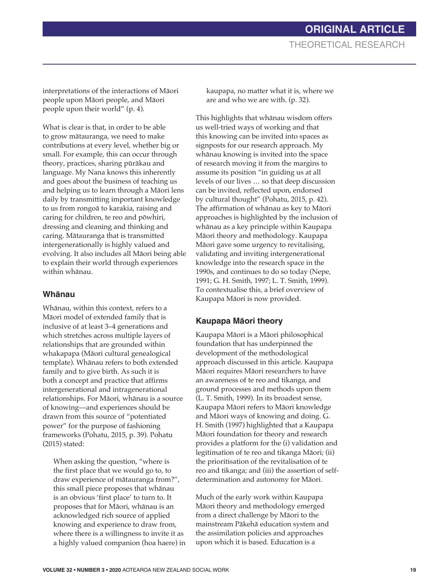interpretations of the interactions of Māori people upon Māori people, and Māori people upon their world" (p. 4).

What is clear is that, in order to be able to grow mātauranga, we need to make contributions at every level, whether big or small. For example, this can occur through theory, practices, sharing pūrākau and language. My Nana knows this inherently and goes about the business of teaching us and helping us to learn through a Māori lens daily by transmitting important knowledge to us from rongoā to karakia, raising and caring for children, te reo and pōwhiri, dressing and cleaning and thinking and caring. Mātauranga that is transmitted intergenerationally is highly valued and evolving. It also includes all Māori being able to explain their world through experiences within whānau.

#### **Whānau**

Whānau, within this context, refers to a Māori model of extended family that is inclusive of at least 3–4 generations and which stretches across multiple layers of relationships that are grounded within whakapapa (Māori cultural genealogical template). Whānau refers to both extended family and to give birth. As such it is both a concept and practice that affirms intergenerational and intragenerational relationships. For Māori, whānau is a source of knowing—and experiences should be drawn from this source of "potentiated power" for the purpose of fashioning frameworks (Pohatu, 2015, p. 39). Pohatu (2015) stated:

When asking the question, "where is the first place that we would go to, to draw experience of mātauranga from?", this small piece proposes that whānau is an obvious 'first place' to turn to. It proposes that for Māori, whānau is an acknowledged rich source of applied knowing and experience to draw from, where there is a willingness to invite it as a highly valued companion (hoa haere) in kaupapa, no matter what it is, where we are and who we are with. (p. 32).

This highlights that whānau wisdom offers us well-tried ways of working and that this knowing can be invited into spaces as signposts for our research approach. My whānau knowing is invited into the space of research moving it from the margins to assume its position "in guiding us at all levels of our lives … so that deep discussion can be invited, reflected upon, endorsed by cultural thought" (Pohatu, 2015, p. 42). The affirmation of whānau as key to Māori approaches is highlighted by the inclusion of whānau as a key principle within Kaupapa Māori theory and methodology. Kaupapa Māori gave some urgency to revitalising, validating and inviting intergenerational knowledge into the research space in the 1990s, and continues to do so today (Nepe, 1991; G. H. Smith, 1997; L. T. Smith, 1999). To contextualise this, a brief overview of Kaupapa Māori is now provided.

#### **Kaupapa Ma¯ori theory**

Kaupapa Māori is a Māori philosophical foundation that has underpinned the development of the methodological approach discussed in this article. Kaupapa Māori requires Māori researchers to have an awareness of te reo and tikanga, and ground processes and methods upon them (L. T. Smith, 1999). In its broadest sense, Kaupapa Māori refers to Māori knowledge and Māori ways of knowing and doing. G. H. Smith (1997) highlighted that a Kaupapa Māori foundation for theory and research provides a platform for the (i) validation and legitimation of te reo and tikanga Māori; (ii) the prioritisation of the revitalisation of te reo and tikanga; and (iii) the assertion of selfdetermination and autonomy for Māori.

Much of the early work within Kaupapa Māori theory and methodology emerged from a direct challenge by Māori to the mainstream Pākehā education system and the assimilation policies and approaches upon which it is based. Education is a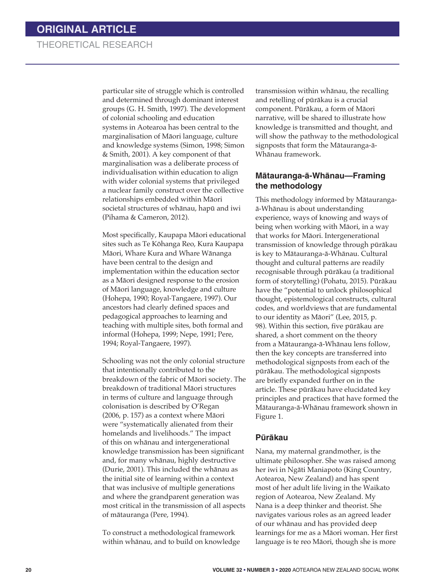particular site of struggle which is controlled and determined through dominant interest groups (G. H. Smith, 1997). The development of colonial schooling and education systems in Aotearoa has been central to the marginalisation of Māori language, culture and knowledge systems (Simon, 1998; Simon & Smith, 2001). A key component of that marginalisation was a deliberate process of individualisation within education to align with wider colonial systems that privileged a nuclear family construct over the collective relationships embedded within Māori societal structures of whānau, hapū and iwi (Pihama & Cameron, 2012).

Most specifically, Kaupapa Māori educational sites such as Te Kōhanga Reo, Kura Kaupapa Māori, Whare Kura and Whare Wānanga have been central to the design and implementation within the education sector as a Māori designed response to the erosion of Māori language, knowledge and culture (Hohepa, 1990; Royal-Tangaere, 1997). Our ancestors had clearly defined spaces and pedagogical approaches to learning and teaching with multiple sites, both formal and informal (Hohepa, 1999; Nepe, 1991; Pere, 1994; Royal-Tangaere, 1997).

Schooling was not the only colonial structure that intentionally contributed to the breakdown of the fabric of Māori society. The breakdown of traditional Māori structures in terms of culture and language through colonisation is described by O'Regan (2006, p. 157) as a context where Māori were "systematically alienated from their homelands and livelihoods." The impact of this on whānau and intergenerational knowledge transmission has been significant and, for many whānau, highly destructive (Durie, 2001). This included the whānau as the initial site of learning within a context that was inclusive of multiple generations and where the grandparent generation was most critical in the transmission of all aspects of mātauranga (Pere, 1994).

To construct a methodological framework within whānau, and to build on knowledge transmission within whānau, the recalling and retelling of pūrākau is a crucial component. Pūrākau, a form of Māori narrative, will be shared to illustrate how knowledge is transmitted and thought, and will show the pathway to the methodological signposts that form the Mātauranga-ā-Whānau framework.

#### **Mātauranga-ā-Whānau—Framing the methodology**

This methodology informed by Mātaurangaā-Whānau is about understanding experience, ways of knowing and ways of being when working with Māori, in a way that works for Māori. Intergenerational transmission of knowledge through pūrākau is key to Mātauranga-ā-Whānau. Cultural thought and cultural patterns are readily recognisable through pūrākau (a traditional form of storytelling) (Pohatu, 2015). Pūrākau have the "potential to unlock philosophical thought, epistemological constructs, cultural codes, and worldviews that are fundamental to our identity as Māori" (Lee, 2015, p. 98). Within this section, five pūrākau are shared, a short comment on the theory from a Mātauranga-ā-Whānau lens follow, then the key concepts are transferred into methodological signposts from each of the pūrākau. The methodological signposts are briefly expanded further on in the article. These pūrākau have elucidated key principles and practices that have formed the Mātauranga-ā-Whānau framework shown in Figure 1.

#### **Pu¯ra¯kau**

Nana, my maternal grandmother, is the ultimate philosopher. She was raised among her iwi in Ngāti Maniapoto (King Country, Aotearoa, New Zealand) and has spent most of her adult life living in the Waikato region of Aotearoa, New Zealand. My Nana is a deep thinker and theorist. She navigates various roles as an agreed leader of our whānau and has provided deep learnings for me as a Māori woman. Her first language is te reo Māori, though she is more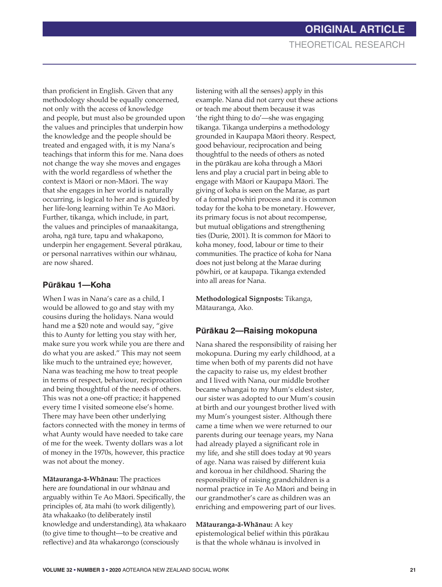than proficient in English. Given that any methodology should be equally concerned, not only with the access of knowledge and people, but must also be grounded upon the values and principles that underpin how the knowledge and the people should be treated and engaged with, it is my Nana's teachings that inform this for me. Nana does not change the way she moves and engages with the world regardless of whether the context is Māori or non-Māori. The way that she engages in her world is naturally occurring, is logical to her and is guided by her life-long learning within Te Ao Māori. Further, tikanga, which include, in part, the values and principles of manaakitanga, aroha, ngā ture, tapu and whakapono, underpin her engagement. Several pūrākau, or personal narratives within our whānau, are now shared.

### Pūrākau 1—Koha

When I was in Nana's care as a child, I would be allowed to go and stay with my cousins during the holidays. Nana would hand me a \$20 note and would say, "give this to Aunty for letting you stay with her, make sure you work while you are there and do what you are asked." This may not seem like much to the untrained eye; however, Nana was teaching me how to treat people in terms of respect, behaviour, reciprocation and being thoughtful of the needs of others. This was not a one-off practice; it happened every time I visited someone else's home. There may have been other underlying factors connected with the money in terms of what Aunty would have needed to take care of me for the week. Twenty dollars was a lot of money in the 1970s, however, this practice was not about the money.

**Mātauranga-ā-Whānau:** The practices here are foundational in our whānau and arguably within Te Ao Māori. Specifically, the principles of, āta mahi (to work diligently), āta whakaako (to deliberately instil knowledge and understanding), āta whakaaro (to give time to thought—to be creative and reflective) and āta whakarongo (consciously

listening with all the senses) apply in this example. Nana did not carry out these actions or teach me about them because it was 'the right thing to do'—she was engaging tikanga. Tikanga underpins a methodology grounded in Kaupapa Māori theory. Respect, good behaviour, reciprocation and being thoughtful to the needs of others as noted in the pūrākau are koha through a Māori lens and play a crucial part in being able to engage with Māori or Kaupapa Māori. The giving of koha is seen on the Marae, as part of a formal pōwhiri process and it is common today for the koha to be monetary. However, its primary focus is not about recompense, but mutual obligations and strengthening ties (Durie, 2001). It is common for Māori to koha money, food, labour or time to their communities. The practice of koha for Nana does not just belong at the Marae during pōwhiri, or at kaupapa. Tikanga extended into all areas for Nana.

**Methodological Signposts:** Tikanga, Mātauranga, Ako.

### Pūrākau 2—Raising mokopuna

Nana shared the responsibility of raising her mokopuna. During my early childhood, at a time when both of my parents did not have the capacity to raise us, my eldest brother and I lived with Nana, our middle brother became whangai to my Mum's eldest sister, our sister was adopted to our Mum's cousin at birth and our youngest brother lived with my Mum's youngest sister. Although there came a time when we were returned to our parents during our teenage years, my Nana had already played a significant role in my life, and she still does today at 90 years of age. Nana was raised by different kuia and koroua in her childhood. Sharing the responsibility of raising grandchildren is a normal practice in Te Ao Māori and being in our grandmother's care as children was an enriching and empowering part of our lives.

**Mātauranga-ā-Whānau:** A key epistemological belief within this pūrākau is that the whole whānau is involved in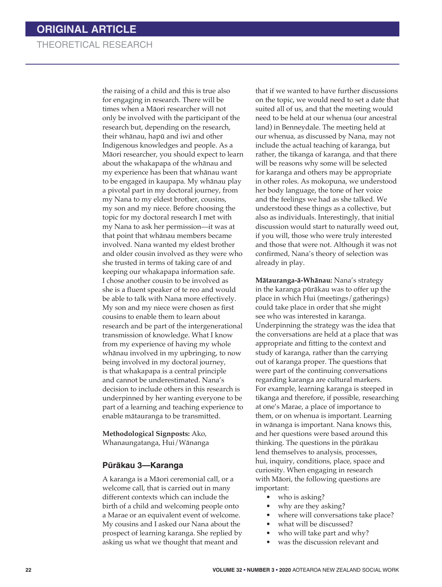the raising of a child and this is true also for engaging in research. There will be times when a Māori researcher will not only be involved with the participant of the research but, depending on the research, their whānau, hapū and iwi and other Indigenous knowledges and people. As a Māori researcher, you should expect to learn about the whakapapa of the whānau and my experience has been that whānau want to be engaged in kaupapa. My whānau play a pivotal part in my doctoral journey, from my Nana to my eldest brother, cousins, my son and my niece. Before choosing the topic for my doctoral research I met with my Nana to ask her permission—it was at that point that whānau members became involved. Nana wanted my eldest brother and older cousin involved as they were who she trusted in terms of taking care of and keeping our whakapapa information safe. I chose another cousin to be involved as she is a fluent speaker of te reo and would be able to talk with Nana more effectively. My son and my niece were chosen as first cousins to enable them to learn about research and be part of the intergenerational transmission of knowledge. What I know from my experience of having my whole whānau involved in my upbringing, to now being involved in my doctoral journey, is that whakapapa is a central principle and cannot be underestimated. Nana's decision to include others in this research is underpinned by her wanting everyone to be part of a learning and teaching experience to enable mātauranga to be transmitted.

**Methodological Signposts:** Ako, Whanaungatanga, Hui/Wānanga

#### **Pu¯ra¯kau 3—Karanga**

A karanga is a Māori ceremonial call, or a welcome call, that is carried out in many different contexts which can include the birth of a child and welcoming people onto a Marae or an equivalent event of welcome. My cousins and I asked our Nana about the prospect of learning karanga. She replied by asking us what we thought that meant and

that if we wanted to have further discussions on the topic, we would need to set a date that suited all of us, and that the meeting would need to be held at our whenua (our ancestral land) in Benneydale. The meeting held at our whenua, as discussed by Nana, may not include the actual teaching of karanga, but rather, the tikanga of karanga, and that there will be reasons why some will be selected for karanga and others may be appropriate in other roles. As mokopuna, we understood her body language, the tone of her voice and the feelings we had as she talked. We understood these things as a collective, but also as individuals. Interestingly, that initial discussion would start to naturally weed out, if you will, those who were truly interested and those that were not. Although it was not confirmed, Nana's theory of selection was already in play.

**Mātauranga-ā-Whānau:** Nana's strategy in the karanga pūrākau was to offer up the place in which Hui (meetings/gatherings) could take place in order that she might see who was interested in karanga. Underpinning the strategy was the idea that the conversations are held at a place that was appropriate and fitting to the context and study of karanga, rather than the carrying out of karanga proper. The questions that were part of the continuing conversations regarding karanga are cultural markers. For example, learning karanga is steeped in tikanga and therefore, if possible, researching at one's Marae, a place of importance to them, or on whenua is important. Learning in wānanga is important. Nana knows this, and her questions were based around this thinking. The questions in the pūrākau lend themselves to analysis, processes, hui, inquiry, conditions, place, space and curiosity. When engaging in research with Māori, the following questions are important:

- who is asking?
- why are they asking?
- where will conversations take place?
- what will be discussed?
- who will take part and why?
- was the discussion relevant and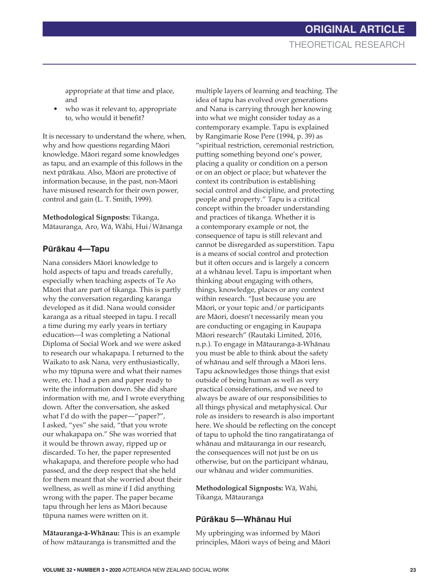appropriate at that time and place, and

who was it relevant to, appropriate to, who would it benefit?

It is necessary to understand the where, when, why and how questions regarding Māori knowledge. Māori regard some knowledges as tapu, and an example of this follows in the next pūrākau. Also, Māori are protective of information because, in the past, non-Māori have misused research for their own power, control and gain (L. T. Smith, 1999).

**Methodological Signposts:** Tikanga, Mātauranga, Aro, Wā, Wāhi, Hui/Wānanga

### Pūrākau 4—Tapu

Nana considers Māori knowledge to hold aspects of tapu and treads carefully, especially when teaching aspects of Te Ao Māori that are part of tikanga. This is partly why the conversation regarding karanga developed as it did. Nana would consider karanga as a ritual steeped in tapu. I recall a time during my early years in tertiary education—I was completing a National Diploma of Social Work and we were asked to research our whakapapa. I returned to the Waikato to ask Nana, very enthusiastically, who my tūpuna were and what their names were, etc. I had a pen and paper ready to write the information down. She did share information with me, and I wrote everything down. After the conversation, she asked what I'd do with the paper—"paper?", I asked, "yes" she said, "that you wrote our whakapapa on." She was worried that it would be thrown away, ripped up or discarded. To her, the paper represented whakapapa, and therefore people who had passed, and the deep respect that she held for them meant that she worried about their wellness, as well as mine if I did anything wrong with the paper. The paper became tapu through her lens as Māori because tūpuna names were written on it.

**Mātauranga-ā-Whānau:** This is an example of how mātauranga is transmitted and the

multiple layers of learning and teaching. The idea of tapu has evolved over generations and Nana is carrying through her knowing into what we might consider today as a contemporary example. Tapu is explained by Rangimarie Rose Pere (1994, p. 39) as "spiritual restriction, ceremonial restriction, putting something beyond one's power, placing a quality or condition on a person or on an object or place; but whatever the context its contribution is establishing social control and discipline, and protecting people and property." Tapu is a critical concept within the broader understanding and practices of tikanga. Whether it is a contemporary example or not, the consequence of tapu is still relevant and cannot be disregarded as superstition. Tapu is a means of social control and protection but it often occurs and is largely a concern at a whānau level. Tapu is important when thinking about engaging with others, things, knowledge, places or any context within research. "Just because you are Māori, or your topic and/or participants are Māori, doesn't necessarily mean you are conducting or engaging in Kaupapa Māori research" (Rautaki Limited, 2016, n.p.). To engage in Mātauranga-ā-Whānau you must be able to think about the safety of whānau and self through a Māori lens. Tapu acknowledges those things that exist outside of being human as well as very practical considerations, and we need to always be aware of our responsibilities to all things physical and metaphysical. Our role as insiders to research is also important here. We should be reflecting on the concept of tapu to uphold the tino rangatiratanga of whānau and mātauranga in our research, the consequences will not just be on us otherwise, but on the participant whānau, our whānau and wider communities.

**Methodological Signposts:** Wā, Wāhi, Tikanga, Mātauranga

#### Pūrākau 5—Whānau Hui

My upbringing was informed by Māori principles, Māori ways of being and Māori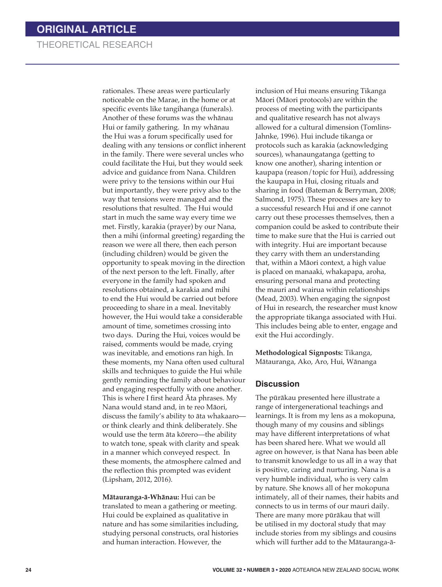rationales. These areas were particularly noticeable on the Marae, in the home or at specific events like tangihanga (funerals). Another of these forums was the whānau Hui or family gathering. In my whānau the Hui was a forum specifically used for dealing with any tensions or conflict inherent in the family. There were several uncles who could facilitate the Hui, but they would seek advice and guidance from Nana. Children were privy to the tensions within our Hui but importantly, they were privy also to the way that tensions were managed and the resolutions that resulted. The Hui would start in much the same way every time we met. Firstly, karakia (prayer) by our Nana, then a mihi (informal greeting) regarding the reason we were all there, then each person (including children) would be given the opportunity to speak moving in the direction of the next person to the left. Finally, after everyone in the family had spoken and resolutions obtained, a karakia and mihi to end the Hui would be carried out before proceeding to share in a meal. Inevitably however, the Hui would take a considerable amount of time, sometimes crossing into two days. During the Hui, voices would be raised, comments would be made, crying was inevitable, and emotions ran high. In these moments, my Nana often used cultural skills and techniques to guide the Hui while gently reminding the family about behaviour and engaging respectfully with one another. This is where I first heard Āta phrases. My Nana would stand and, in te reo Māori, discuss the family's ability to āta whakaaro or think clearly and think deliberately. She would use the term āta kōrero—the ability to watch tone, speak with clarity and speak in a manner which conveyed respect. In these moments, the atmosphere calmed and the reflection this prompted was evident (Lipsham, 2012, 2016).

**Mātauranga-ā-Whānau:** Hui can be translated to mean a gathering or meeting. Hui could be explained as qualitative in nature and has some similarities including, studying personal constructs, oral histories and human interaction. However, the

inclusion of Hui means ensuring Tikanga Māori (Māori protocols) are within the process of meeting with the participants and qualitative research has not always allowed for a cultural dimension (Tomlins-Jahnke, 1996). Hui include tikanga or protocols such as karakia (acknowledging sources), whanaungatanga (getting to know one another), sharing intention or kaupapa (reason/topic for Hui), addressing the kaupapa in Hui, closing rituals and sharing in food (Bateman & Berryman, 2008; Salmond, 1975). These processes are key to a successful research Hui and if one cannot carry out these processes themselves, then a companion could be asked to contribute their time to make sure that the Hui is carried out with integrity. Hui are important because they carry with them an understanding that, within a Māori context, a high value is placed on manaaki, whakapapa, aroha, ensuring personal mana and protecting the mauri and wairua within relationships (Mead, 2003). When engaging the signpost of Hui in research, the researcher must know the appropriate tikanga associated with Hui. This includes being able to enter, engage and exit the Hui accordingly.

**Methodological Signposts:** Tikanga, Mātauranga, Ako, Aro, Hui, Wānanga

#### **Discussion**

The pūrākau presented here illustrate a range of intergenerational teachings and learnings. It is from my lens as a mokopuna, though many of my cousins and siblings may have different interpretations of what has been shared here. What we would all agree on however, is that Nana has been able to transmit knowledge to us all in a way that is positive, caring and nurturing. Nana is a very humble individual, who is very calm by nature. She knows all of her mokopuna intimately, all of their names, their habits and connects to us in terms of our mauri daily. There are many more pūrākau that will be utilised in my doctoral study that may include stories from my siblings and cousins which will further add to the Mātauranga-ā-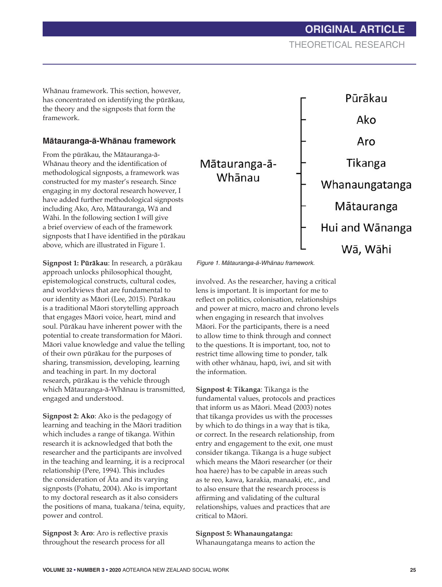**ORIGINAL ARTICLE** THEORETICAL RESEARCH

Whānau framework. This section, however, has concentrated on identifying the pūrākau, the theory and the signposts that form the framework.

#### **Ma¯tauranga-a¯-Wha¯nau framework**

From the pūrākau, the Mātauranga-ā-Whānau theory and the identification of methodological signposts, a framework was constructed for my master's research. Since engaging in my doctoral research however, I have added further methodological signposts including Ako, Aro, Mātauranga, Wā and Wāhi. In the following section I will give a brief overview of each of the framework signposts that I have identified in the pūrākau above, which are illustrated in Figure 1.

**Signpost 1: Pūrākau**: In research, a pūrākau approach unlocks philosophical thought, epistemological constructs, cultural codes, and worldviews that are fundamental to our identity as Māori (Lee, 2015). Pūrākau is a traditional Māori storytelling approach that engages Māori voice, heart, mind and soul. Pūrākau have inherent power with the potential to create transformation for Māori. Māori value knowledge and value the telling of their own pūrākau for the purposes of sharing, transmission, developing, learning and teaching in part. In my doctoral research, pūrākau is the vehicle through which Mātauranga-ā-Whānau is transmitted, engaged and understood.

**Signpost 2: Ako**: Ako is the pedagogy of learning and teaching in the Māori tradition which includes a range of tikanga. Within research it is acknowledged that both the researcher and the participants are involved in the teaching and learning, it is a reciprocal relationship (Pere, 1994). This includes the consideration of Āta and its varying signposts (Pohatu, 2004). Ako is important to my doctoral research as it also considers the positions of mana, tuakana/teina, equity, power and control.

**Signpost 3: Aro**: Aro is reflective praxis throughout the research process for all

Figure 1. Mātauranga-ā-Whānau framework.

involved. As the researcher, having a critical lens is important. It is important for me to reflect on politics, colonisation, relationships and power at micro, macro and chrono levels when engaging in research that involves Māori. For the participants, there is a need to allow time to think through and connect to the questions. It is important, too, not to restrict time allowing time to ponder, talk with other whānau, hapū, iwi, and sit with the information.

**Signpost 4: Tikanga**: Tikanga is the fundamental values, protocols and practices that inform us as Māori. Mead (2003) notes that tikanga provides us with the processes by which to do things in a way that is tika, or correct. In the research relationship, from entry and engagement to the exit, one must consider tikanga. Tikanga is a huge subject which means the Māori researcher (or their hoa haere) has to be capable in areas such as te reo, kawa, karakia, manaaki, etc., and to also ensure that the research process is affirming and validating of the cultural relationships, values and practices that are critical to Māori.

#### **Signpost 5: Whanaungatanga:**

Whanaungatanga means to action the

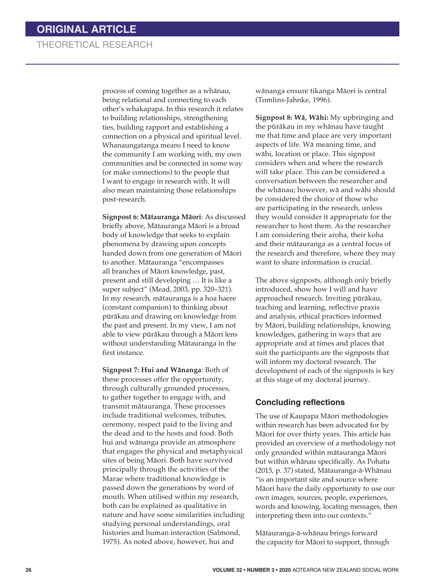process of coming together as a whānau, being relational and connecting to each other's whakapapa. In this research it relates to building relationships, strengthening ties, building rapport and establishing a connection on a physical and spiritual level. Whanaungatanga means I need to know the community I am working with, my own communities and be connected in some way (or make connections) to the people that I want to engage in research with. It will also mean maintaining those relationships post-research.

**Signpost 6: Mātauranga Māori**: As discussed briefly above, Mātauranga Māori is a broad body of knowledge that seeks to explain phenomena by drawing upon concepts handed down from one generation of Māori to another. Mātauranga "encompasses all branches of Māori knowledge, past, present and still developing … It is like a super subject" (Mead, 2003, pp. 320–321). In my research, mātauranga is a hoa haere (constant companion) to thinking about pūrākau and drawing on knowledge from the past and present. In my view, I am not able to view pūrākau through a Māori lens without understanding Mātauranga in the first instance.

**Signpost 7: Hui and Wānanga**: Both of these processes offer the opportunity, through culturally grounded processes, to gather together to engage with, and transmit mātauranga. These processes include traditional welcomes, tributes, ceremony, respect paid to the living and the dead and to the hosts and food. Both hui and wānanga provide an atmosphere that engages the physical and metaphysical sites of being Māori. Both have survived principally through the activities of the Marae where traditional knowledge is passed down the generations by word of mouth. When utilised within my research, both can be explained as qualitative in nature and have some similarities including studying personal understandings, oral histories and human interaction (Salmond, 1975). As noted above, however, hui and

wānanga ensure tikanga Māori is central (Tomlins-Jahnke, 1996).

**Signpost 8: Wā, Wāhi:** My upbringing and the pūrākau in my whānau have taught me that time and place are very important aspects of life. Wā meaning time, and wāhi, location or place. This signpost considers when and where the research will take place. This can be considered a conversation between the researcher and the whānau; however, wā and wāhi should be considered the choice of those who are participating in the research, unless they would consider it appropriate for the researcher to host them. As the researcher I am considering their aroha, their koha and their mātauranga as a central focus of the research and therefore, where they may want to share information is crucial.

The above signposts, although only briefly introduced, show how I will and have approached research. Inviting pūrākau, teaching and learning, reflective praxis and analysis, ethical practices informed by Māori, building relationships, knowing knowledges, gathering in ways that are appropriate and at times and places that suit the participants are the signposts that will inform my doctoral research. The development of each of the signposts is key at this stage of my doctoral journey.

#### **Concluding reflections**

The use of Kaupapa Māori methodologies within research has been advocated for by Māori for over thirty years. This article has provided an overview of a methodology not only grounded within mātauranga Māori but within whānau specifically. As Pohatu (2015, p. 37) stated, Mātauranga-ā-Whānau "is an important site and source where Mā ori have the daily opportunity to use our own images, sources, people, experiences, words and knowing, locating messages, then interpreting them into our contexts."

Mātauranga-ā-whānau brings forward the capacity for Māori to support, through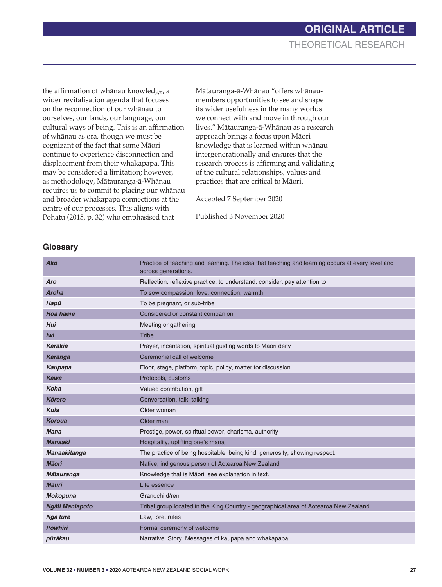the affirmation of whānau knowledge, a wider revitalisation agenda that focuses on the reconnection of our whānau to ourselves, our lands, our language, our cultural ways of being. This is an affirmation of whānau as ora, though we must be cognizant of the fact that some Māori continue to experience disconnection and displacement from their whakapapa. This may be considered a limitation; however, as methodology, Mātauranga-ā-Whānau requires us to commit to placing our whānau and broader whakapapa connections at the centre of our processes. This aligns with Pohatu (2015, p. 32) who emphasised that

Mātauranga-ā-Whānau "offers whānaumembers opportunities to see and shape its wider usefulness in the many worlds we connect with and move in through our lives." Mātauranga-ā-Whānau as a research approach brings a focus upon Māori knowledge that is learned within whānau intergenerationally and ensures that the research process is affirming and validating of the cultural relationships, values and practices that are critical to Māori.

Accepted 7 September 2020

Published 3 November 2020

#### **Glossary**

| <b>Ako</b>       | Practice of teaching and learning. The idea that teaching and learning occurs at every level and<br>across generations. |
|------------------|-------------------------------------------------------------------------------------------------------------------------|
| Aro              | Reflection, reflexive practice, to understand, consider, pay attention to                                               |
| <b>Aroha</b>     | To sow compassion, love, connection, warmth                                                                             |
| Hapū             | To be pregnant, or sub-tribe                                                                                            |
| <b>Hoa haere</b> | Considered or constant companion                                                                                        |
| <b>Hui</b>       | Meeting or gathering                                                                                                    |
| <b>Iwi</b>       | <b>Tribe</b>                                                                                                            |
| <b>Karakia</b>   | Prayer, incantation, spiritual guiding words to Māori deity                                                             |
| <b>Karanga</b>   | Ceremonial call of welcome                                                                                              |
| Kaupapa          | Floor, stage, platform, topic, policy, matter for discussion                                                            |
| <b>Kawa</b>      | Protocols, customs                                                                                                      |
| Koha             | Valued contribution, gift                                                                                               |
| <b>Körero</b>    | Conversation, talk, talking                                                                                             |
| <b>Kuia</b>      | Older woman                                                                                                             |
| <b>Koroua</b>    | Older man                                                                                                               |
| <b>Mana</b>      | Prestige, power, spiritual power, charisma, authority                                                                   |
| <b>Manaaki</b>   | Hospitality, uplifting one's mana                                                                                       |
| Manaakitanga     | The practice of being hospitable, being kind, generosity, showing respect.                                              |
| <b>Māori</b>     | Native, indigenous person of Aotearoa New Zealand                                                                       |
| Mātauranga       | Knowledge that is Māori, see explanation in text.                                                                       |
| <b>Mauri</b>     | Life essence                                                                                                            |
| <b>Mokopuna</b>  | Grandchild/ren                                                                                                          |
| Ngāti Maniapoto  | Tribal group located in the King Country - geographical area of Aotearoa New Zealand                                    |
| Ngā ture         | Law, lore, rules                                                                                                        |
| <b>Pōwhiri</b>   | Formal ceremony of welcome                                                                                              |
| pūrākau          | Narrative. Story. Messages of kaupapa and whakapapa.                                                                    |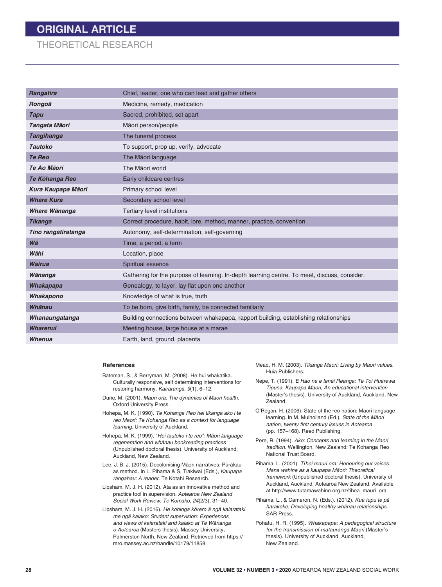## **ORIGINAL ARTICLE**

### THEORETICAL RESEARCH

| <b>Rangatira</b>    | Chief, leader, one who can lead and gather others                                            |
|---------------------|----------------------------------------------------------------------------------------------|
| Rongoā              | Medicine, remedy, medication                                                                 |
| <b>Tapu</b>         | Sacred, prohibited, set apart                                                                |
| Tangata Māori       | Māori person/people                                                                          |
| <b>Tangihanga</b>   | The funeral process                                                                          |
| <b>Tautoko</b>      | To support, prop up, verify, advocate                                                        |
| <b>Te Reo</b>       | The Māori language                                                                           |
| Te Ao Māori         | The Māori world                                                                              |
| Te Kōhanga Reo      | Early childcare centres                                                                      |
| Kura Kaupapa Māori  | Primary school level                                                                         |
| <b>Whare Kura</b>   | Secondary school level                                                                       |
| Whare Wānanga       | <b>Tertiary level institutions</b>                                                           |
| <b>Tikanga</b>      | Correct procedure, habit, lore, method, manner, practice, convention                         |
| Tino rangatiratanga | Autonomy, self-determination, self-governing                                                 |
| Wā                  | Time, a period, a term                                                                       |
| Wāhi                | Location, place                                                                              |
| <b>Wairua</b>       | Spiritual essence                                                                            |
| Wānanga             | Gathering for the purpose of learning. In-depth learning centre. To meet, discuss, consider. |
| Whakapapa           | Genealogy, to layer, lay flat upon one another                                               |
| Whakapono           | Knowledge of what is true, truth                                                             |
| Whānau              | To be born, give birth, family, be connected familiarly                                      |
| Whanaungatanga      | Building connections between whakapapa, rapport building, establishing relationships         |
| <b>Wharenui</b>     | Meeting house, large house at a marae                                                        |
| Whenua              | Earth, land, ground, placenta                                                                |

#### **References**

- Bateman, S., & Berryman, M. (2008). He hui whakatika. Culturally responsive, self determining interventions for restoring harmony. *Kairaranga, 9*(1), 6–12.
- Durie, M. (2001). *Mauri ora: The dynamics of Maori health.* Oxford University Press.
- Hohepa, M. K. (1990). *Te Kohanga Reo hei tikanga ako i te reo Maori: Te Kohanga Reo as a context for language learning*. University of Auckland.
- Hohepa, M. K. (1999). "*Hei tautoko i te reo": Mäori language regeneration and whänau bookreading practices* (Unpublished doctoral thesis). University of Auckland, Auckland, New Zealand.
- Lee, J. B. J. (2015). Decolonising Māori narratives: Pūrākau as method. In L. Pihama & S. Tiakiwai (Eds.), *Kaupapa rangahau: A reader*. Te Kotahi Research.
- Lipsham, M. J. H. (2012). Ata as an innovative method and practice tool in supervision. *Aotearoa New Zealand Social Work Review: Te Komako, 24*(2/3), 31–40.
- Lipsham, M. J. H. (2016). *He kohinga korero a nga kaiarataki me nga¯ kaiako: Student supervision: Experiences*  and views of kaiarataki and kaiako at Te Wānanga *o Aotearoa* (Masters thesis). Massey University, Palmerston North, New Zealand. Retrieved from https:// mro.massey.ac.nz/handle/10179/11858
- Mead, H. M. (2003). *Tikanga Maori: Living by Maori values*. Huia Publishers.
- Nepe, T. (1991). *E Hao ne e tenei Reanga: Te Toi Huarewa Tipuna, Kaupapa Maori, An educational intervention* (Master's thesis). University of Auckland, Auckland, New Zealand.
- O'Regan, H. (2006). State of the reo nation: Maori language learning. In M. Mulholland (Ed.), *State of the Māori nation, twenty first century issues in Aotearoa* (pp. 157–168). Reed Publishing.
- Pere, R. (1994). *Ako: Concepts and learning in the Maori tradition*. Wellington, New Zealand: Te Kohanga Reo National Trust Board.
- Pihama, L. (2001). *Tīhei mauri ora: Honouring our voices: Mana wahine as a kaupapa Māori: Theoretical framework* (Unpublished doctoral thesis). University of Auckland, Auckland, Aotearoa New Zealand. Available at http://www.tutamawahine.org.nz/tihea\_mauri\_ora
- Pihama, L., & Cameron, N. (Eds.). (2012). *Kua tupu te pa¯*  harakeke: Developing healthy whānau relationships. SAR Press.
- Pohatu, H. R. (1995). *Whakapapa: A pedagogical structure for the transmission of matauranga Maori* (Master's thesis). University of Auckland, Auckland, New Zealand.